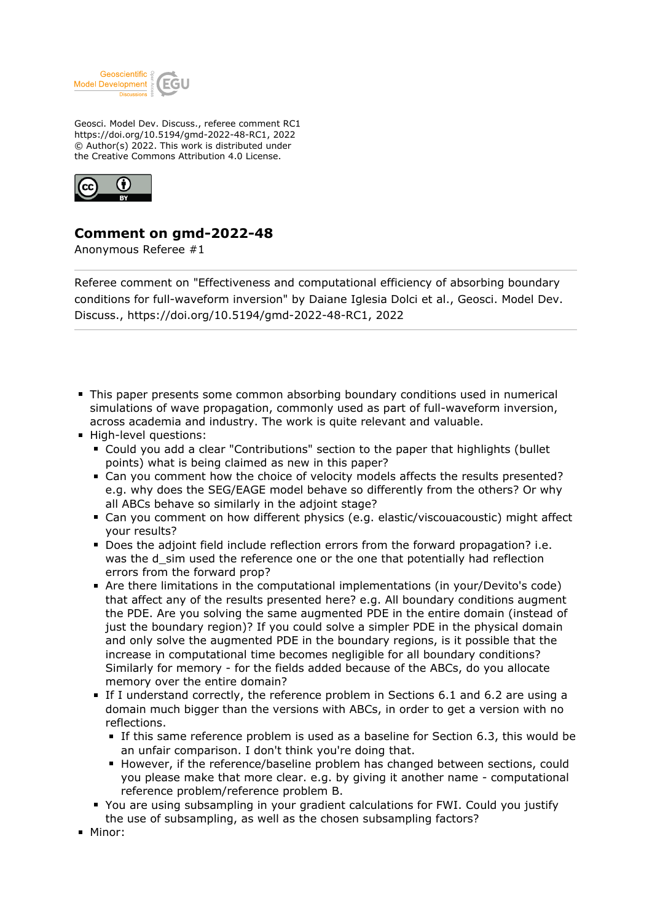

Geosci. Model Dev. Discuss., referee comment RC1 https://doi.org/10.5194/gmd-2022-48-RC1, 2022 © Author(s) 2022. This work is distributed under the Creative Commons Attribution 4.0 License.



## **Comment on gmd-2022-48**

Anonymous Referee #1

Referee comment on "Effectiveness and computational efficiency of absorbing boundary conditions for full-waveform inversion" by Daiane Iglesia Dolci et al., Geosci. Model Dev. Discuss., https://doi.org/10.5194/gmd-2022-48-RC1, 2022

- This paper presents some common absorbing boundary conditions used in numerical simulations of wave propagation, commonly used as part of full-waveform inversion, across academia and industry. The work is quite relevant and valuable.
- **High-level questions:** 
	- Could you add a clear "Contributions" section to the paper that highlights (bullet points) what is being claimed as new in this paper?
	- Can you comment how the choice of velocity models affects the results presented? e.g. why does the SEG/EAGE model behave so differently from the others? Or why all ABCs behave so similarly in the adjoint stage?
	- Can you comment on how different physics (e.g. elastic/viscouacoustic) might affect your results?
	- Does the adjoint field include reflection errors from the forward propagation? i.e. was the d sim used the reference one or the one that potentially had reflection errors from the forward prop?
	- Are there limitations in the computational implementations (in your/Devito's code) that affect any of the results presented here? e.g. All boundary conditions augment the PDE. Are you solving the same augmented PDE in the entire domain (instead of just the boundary region)? If you could solve a simpler PDE in the physical domain and only solve the augmented PDE in the boundary regions, is it possible that the increase in computational time becomes negligible for all boundary conditions? Similarly for memory - for the fields added because of the ABCs, do you allocate memory over the entire domain?
	- If I understand correctly, the reference problem in Sections 6.1 and 6.2 are using a domain much bigger than the versions with ABCs, in order to get a version with no reflections.
		- If this same reference problem is used as a baseline for Section 6.3, this would be an unfair comparison. I don't think you're doing that.
		- **However, if the reference/baseline problem has changed between sections, could** you please make that more clear. e.g. by giving it another name - computational reference problem/reference problem B.
	- You are using subsampling in your gradient calculations for FWI. Could you justify the use of subsampling, as well as the chosen subsampling factors?
- Minor: